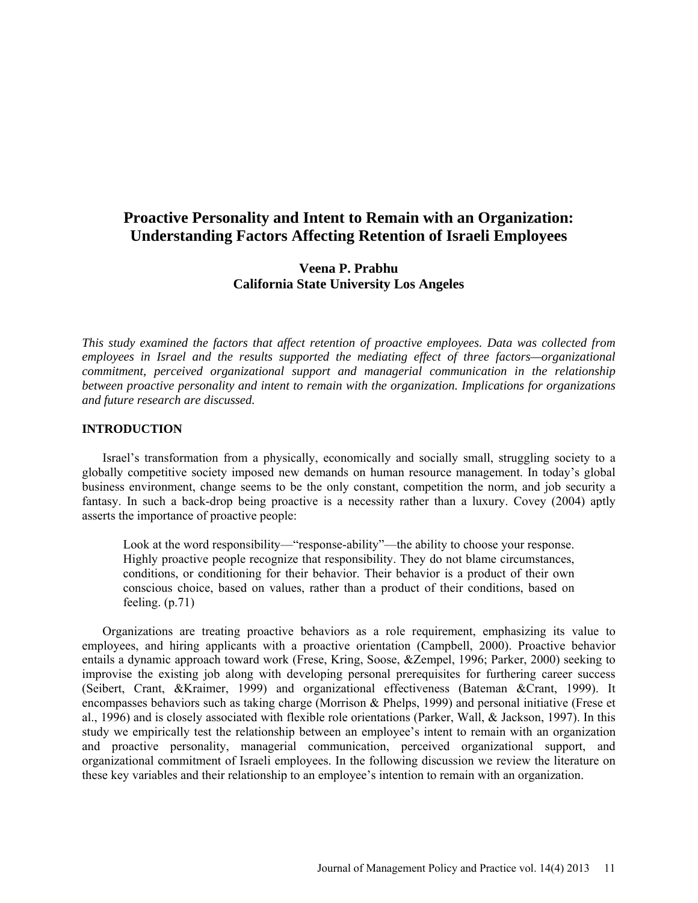# **Proactive Personality and Intent to Remain with an Organization: Understanding Factors Affecting Retention of Israeli Employees**

# **Veena P. Prabhu California State University Los Angeles**

*This study examined the factors that affect retention of proactive employees. Data was collected from employees in Israel and the results supported the mediating effect of three factors—organizational commitment, perceived organizational support and managerial communication in the relationship between proactive personality and intent to remain with the organization. Implications for organizations and future research are discussed.*

## **INTRODUCTION**

Israel's transformation from a physically, economically and socially small, struggling society to a globally competitive society imposed new demands on human resource management. In today's global business environment, change seems to be the only constant, competition the norm, and job security a fantasy. In such a back-drop being proactive is a necessity rather than a luxury. Covey (2004) aptly asserts the importance of proactive people:

Look at the word responsibility—"response-ability"—the ability to choose your response. Highly proactive people recognize that responsibility. They do not blame circumstances, conditions, or conditioning for their behavior. Their behavior is a product of their own conscious choice, based on values, rather than a product of their conditions, based on feeling. (p.71)

Organizations are treating proactive behaviors as a role requirement, emphasizing its value to employees, and hiring applicants with a proactive orientation (Campbell, 2000). Proactive behavior entails a dynamic approach toward work (Frese, Kring, Soose, &Zempel, 1996; Parker, 2000) seeking to improvise the existing job along with developing personal prerequisites for furthering career success (Seibert, Crant, &Kraimer, 1999) and organizational effectiveness (Bateman &Crant, 1999). It encompasses behaviors such as taking charge (Morrison & Phelps, 1999) and personal initiative (Frese et al., 1996) and is closely associated with flexible role orientations (Parker, Wall, & Jackson, 1997). In this study we empirically test the relationship between an employee's intent to remain with an organization and proactive personality, managerial communication, perceived organizational support, and organizational commitment of Israeli employees. In the following discussion we review the literature on these key variables and their relationship to an employee's intention to remain with an organization.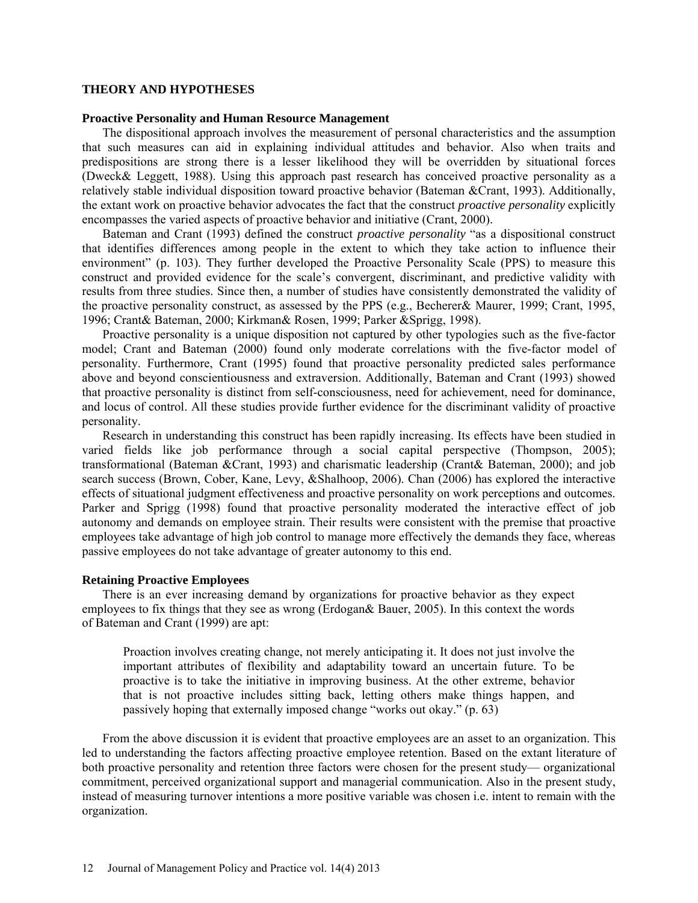## **THEORY AND HYPOTHESES**

## **Proactive Personality and Human Resource Management**

The dispositional approach involves the measurement of personal characteristics and the assumption that such measures can aid in explaining individual attitudes and behavior. Also when traits and predispositions are strong there is a lesser likelihood they will be overridden by situational forces (Dweck& Leggett, 1988). Using this approach past research has conceived proactive personality as a relatively stable individual disposition toward proactive behavior (Bateman &Crant, 1993). Additionally, the extant work on proactive behavior advocates the fact that the construct *proactive personality* explicitly encompasses the varied aspects of proactive behavior and initiative (Crant, 2000).

Bateman and Crant (1993) defined the construct *proactive personality* "as a dispositional construct that identifies differences among people in the extent to which they take action to influence their environment" (p. 103). They further developed the Proactive Personality Scale (PPS) to measure this construct and provided evidence for the scale's convergent, discriminant, and predictive validity with results from three studies. Since then, a number of studies have consistently demonstrated the validity of the proactive personality construct, as assessed by the PPS (e.g., Becherer& Maurer, 1999; Crant, 1995, 1996; Crant& Bateman, 2000; Kirkman& Rosen, 1999; Parker &Sprigg, 1998).

Proactive personality is a unique disposition not captured by other typologies such as the five-factor model; Crant and Bateman (2000) found only moderate correlations with the five-factor model of personality. Furthermore, Crant (1995) found that proactive personality predicted sales performance above and beyond conscientiousness and extraversion. Additionally, Bateman and Crant (1993) showed that proactive personality is distinct from self-consciousness, need for achievement, need for dominance, and locus of control. All these studies provide further evidence for the discriminant validity of proactive personality.

Research in understanding this construct has been rapidly increasing. Its effects have been studied in varied fields like job performance through a social capital perspective (Thompson, 2005); transformational (Bateman &Crant, 1993) and charismatic leadership (Crant& Bateman, 2000); and job search success (Brown, Cober, Kane, Levy, &Shalhoop, 2006). Chan (2006) has explored the interactive effects of situational judgment effectiveness and proactive personality on work perceptions and outcomes. Parker and Sprigg (1998) found that proactive personality moderated the interactive effect of job autonomy and demands on employee strain. Their results were consistent with the premise that proactive employees take advantage of high job control to manage more effectively the demands they face, whereas passive employees do not take advantage of greater autonomy to this end.

## **Retaining Proactive Employees**

There is an ever increasing demand by organizations for proactive behavior as they expect employees to fix things that they see as wrong (Erdogan& Bauer, 2005). In this context the words of Bateman and Crant (1999) are apt:

Proaction involves creating change, not merely anticipating it. It does not just involve the important attributes of flexibility and adaptability toward an uncertain future. To be proactive is to take the initiative in improving business. At the other extreme, behavior that is not proactive includes sitting back, letting others make things happen, and passively hoping that externally imposed change "works out okay." (p. 63)

From the above discussion it is evident that proactive employees are an asset to an organization. This led to understanding the factors affecting proactive employee retention. Based on the extant literature of both proactive personality and retention three factors were chosen for the present study— organizational commitment, perceived organizational support and managerial communication. Also in the present study, instead of measuring turnover intentions a more positive variable was chosen i.e. intent to remain with the organization.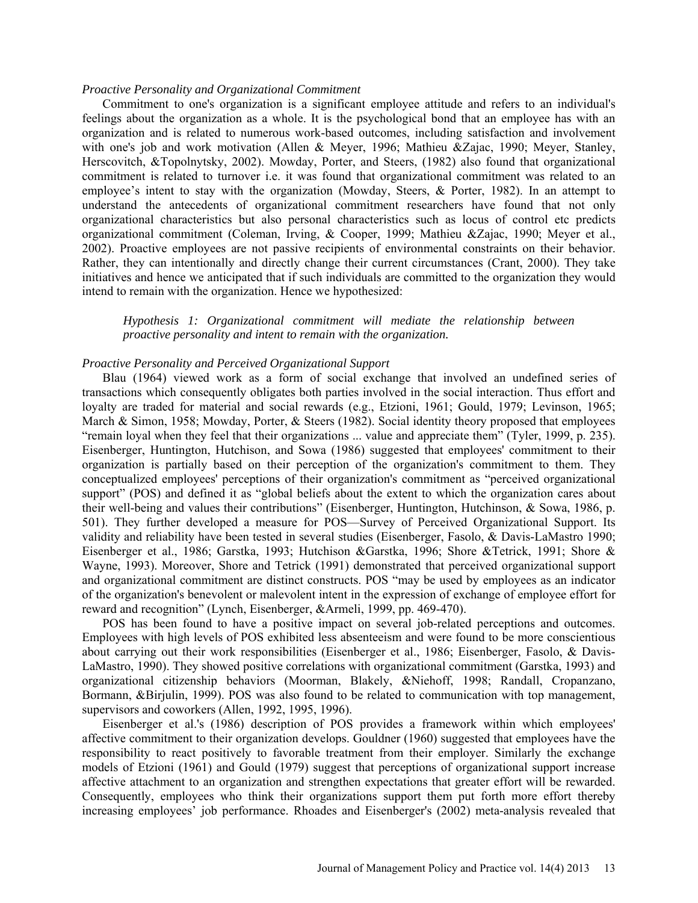## *Proactive Personality and Organizational Commitment*

Commitment to one's organization is a significant employee attitude and refers to an individual's feelings about the organization as a whole. It is the psychological bond that an employee has with an organization and is related to numerous work-based outcomes, including satisfaction and involvement with one's job and work motivation [\(Allen & Meyer, 1996;](http://www3.interscience.wiley.com/cgi-bin/fulltext/119392159/main.html,ftx_abs#b3) [Mathieu &Zajac, 1990;](http://www3.interscience.wiley.com/cgi-bin/fulltext/119392159/main.html,ftx_abs#b42) Meyer, Stanley, [Herscovitch, &Topolnytsky, 2002\)](http://www3.interscience.wiley.com/cgi-bin/fulltext/119392159/main.html,ftx_abs#b48). [Mowday, Porter, and Steers, \(1982\)](http://www3.interscience.wiley.com/cgi-bin/fulltext/119392159/main.html,ftx_abs#b50) also found that organizational commitment is related to turnover i.e. it was found that organizational commitment was related to an employee's intent to stay with the organization (Mowday, Steers, & Porter, 1982). In an attempt to understand the antecedents of organizational commitment researchers have found that not only organizational characteristics but also personal characteristics such as locus of control etc predicts organizational commitment [\(Coleman, Irving, & Cooper, 1999;](http://www3.interscience.wiley.com/cgi-bin/fulltext/119392159/main.html,ftx_abs#b13) [Mathieu &Zajac, 1990;](http://www3.interscience.wiley.com/cgi-bin/fulltext/119392159/main.html,ftx_abs#b42) [Meyer et al.,](http://www3.interscience.wiley.com/cgi-bin/fulltext/119392159/main.html,ftx_abs#b48)  [2002\)](http://www3.interscience.wiley.com/cgi-bin/fulltext/119392159/main.html,ftx_abs#b48). Proactive employees are not passive recipients of environmental constraints on their behavior. Rather, they can intentionally and directly change their current circumstances (Crant, 2000). They take initiatives and hence we anticipated that if such individuals are committed to the organization they would intend to remain with the organization. Hence we hypothesized:

*Hypothesis 1: Organizational commitment will mediate the relationship between proactive personality and intent to remain with the organization.*

### *Proactive Personality and Perceived Organizational Support*

Blau (1964) viewed work as a form of social exchange that involved an undefined series of transactions which consequently obligates both parties involved in the social interaction. Thus effort and loyalty are traded for material and social rewards (e.g., Etzioni, 1961; Gould, 1979; Levinson, 1965; March & Simon, 1958; Mowday, Porter, & Steers (1982). Social identity theory proposed that employees "remain loyal when they feel that their organizations ... value and appreciate them" (Tyler, 1999, p. 235). Eisenberger, Huntington, Hutchison, and Sowa (1986) suggested that employees' commitment to their organization is partially based on their perception of the organization's commitment to them. They conceptualized employees' perceptions of their organization's commitment as "perceived organizational support" (POS) and defined it as "global beliefs about the extent to which the organization cares about their well-being and values their contributions" (Eisenberger, Huntington, Hutchinson, & Sowa, 1986, p. 501). They further developed a measure for POS—Survey of Perceived Organizational Support. Its validity and reliability have been tested in several studies (Eisenberger, Fasolo, & Davis-LaMastro 1990; Eisenberger et al., 1986; Garstka, 1993; Hutchison &Garstka, 1996; Shore &Tetrick, 1991; Shore & Wayne, 1993). Moreover, Shore and Tetrick (1991) demonstrated that perceived organizational support and organizational commitment are distinct constructs. POS "may be used by employees as an indicator of the organization's benevolent or malevolent intent in the expression of exchange of employee effort for reward and recognition" (Lynch, Eisenberger, &Armeli, 1999, pp. 469-470).

POS has been found to have a positive impact on several job-related perceptions and outcomes. Employees with high levels of POS exhibited less absenteeism and were found to be more conscientious about carrying out their work responsibilities (Eisenberger et al., 1986; Eisenberger, Fasolo, & Davis-LaMastro, 1990). They showed positive correlations with organizational commitment (Garstka, 1993) and organizational citizenship behaviors (Moorman, Blakely, &Niehoff, 1998; Randall, Cropanzano, Bormann, &Birjulin, 1999). POS was also found to be related to communication with top management, supervisors and coworkers (Allen, 1992, 1995, 1996).

Eisenberger et al.'s (1986) description of POS provides a framework within which employees' affective commitment to their organization develops. Gouldner (1960) suggested that employees have the responsibility to react positively to favorable treatment from their employer. Similarly the exchange models of Etzioni (1961) and Gould (1979) suggest that perceptions of organizational support increase affective attachment to an organization and strengthen expectations that greater effort will be rewarded. Consequently, employees who think their organizations support them put forth more effort thereby increasing employees' job performance. Rhoades and Eisenberger's (2002) meta-analysis revealed that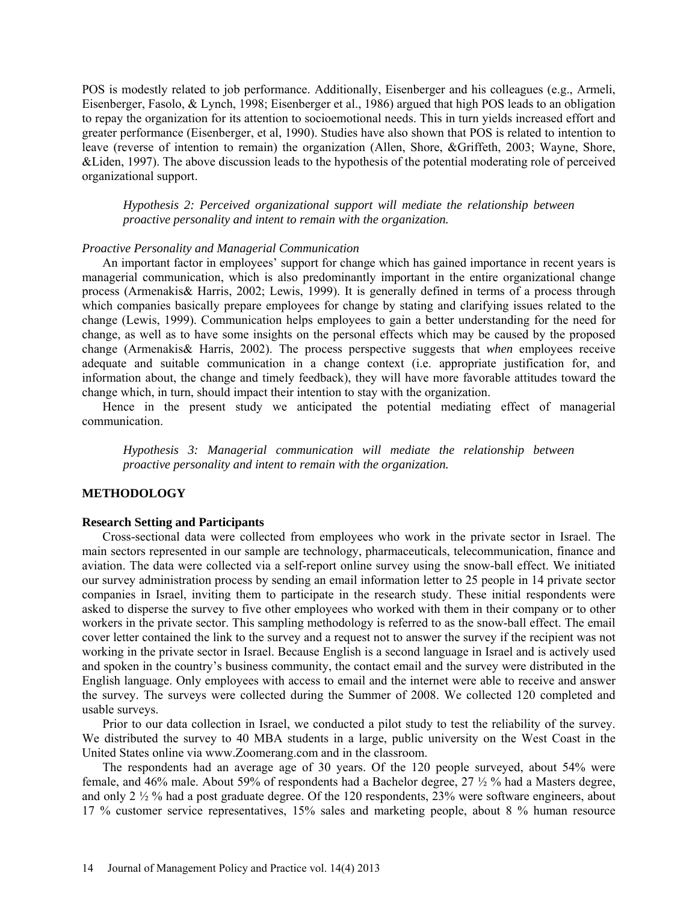POS is modestly related to job performance. Additionally, Eisenberger and his colleagues (e.g., Armeli, Eisenberger, Fasolo, & Lynch, 1998; Eisenberger et al., 1986) argued that high POS leads to an obligation to repay the organization for its attention to socioemotional needs. This in turn yields increased effort and greater performance (Eisenberger, et al, 1990). Studies have also shown that POS is related to intention to leave (reverse of intention to remain) the organization (Allen, Shore, &Griffeth, 2003; Wayne, Shore, &Liden, 1997). The above discussion leads to the hypothesis of the potential moderating role of perceived organizational support.

*Hypothesis 2: Perceived organizational support will mediate the relationship between proactive personality and intent to remain with the organization.*

## *Proactive Personality and Managerial Communication*

An important factor in employees' support for change which has gained importance in recent years is managerial communication, which is also predominantly important in the entire organizational change process (Armenakis& Harris, 2002; Lewis, 1999). It is generally defined in terms of a process through which companies basically prepare employees for change by stating and clarifying issues related to the change (Lewis, 1999). Communication helps employees to gain a better understanding for the need for change, as well as to have some insights on the personal effects which may be caused by the proposed change (Armenakis& Harris, 2002). The process perspective suggests that *when* employees receive adequate and suitable communication in a change context (i.e. appropriate justification for, and information about, the change and timely feedback), they will have more favorable attitudes toward the change which, in turn, should impact their intention to stay with the organization.

Hence in the present study we anticipated the potential mediating effect of managerial communication.

*Hypothesis 3: Managerial communication will mediate the relationship between proactive personality and intent to remain with the organization.*

#### **METHODOLOGY**

### **Research Setting and Participants**

Cross-sectional data were collected from employees who work in the private sector in Israel. The main sectors represented in our sample are technology, pharmaceuticals, telecommunication, finance and aviation. The data were collected via a self-report online survey using the snow-ball effect. We initiated our survey administration process by sending an email information letter to 25 people in 14 private sector companies in Israel, inviting them to participate in the research study. These initial respondents were asked to disperse the survey to five other employees who worked with them in their company or to other workers in the private sector. This sampling methodology is referred to as the snow-ball effect. The email cover letter contained the link to the survey and a request not to answer the survey if the recipient was not working in the private sector in Israel. Because English is a second language in Israel and is actively used and spoken in the country's business community, the contact email and the survey were distributed in the English language. Only employees with access to email and the internet were able to receive and answer the survey. The surveys were collected during the Summer of 2008. We collected 120 completed and usable surveys.

Prior to our data collection in Israel, we conducted a pilot study to test the reliability of the survey. We distributed the survey to 40 MBA students in a large, public university on the West Coast in the United States online via [www.Zoomerang.com](http://www.zoomerang.com/) and in the classroom.

The respondents had an average age of 30 years. Of the 120 people surveyed, about 54% were female, and 46% male. About 59% of respondents had a Bachelor degree, 27 ½ % had a Masters degree, and only 2 ½ % had a post graduate degree. Of the 120 respondents, 23% were software engineers, about 17 % customer service representatives, 15% sales and marketing people, about 8 % human resource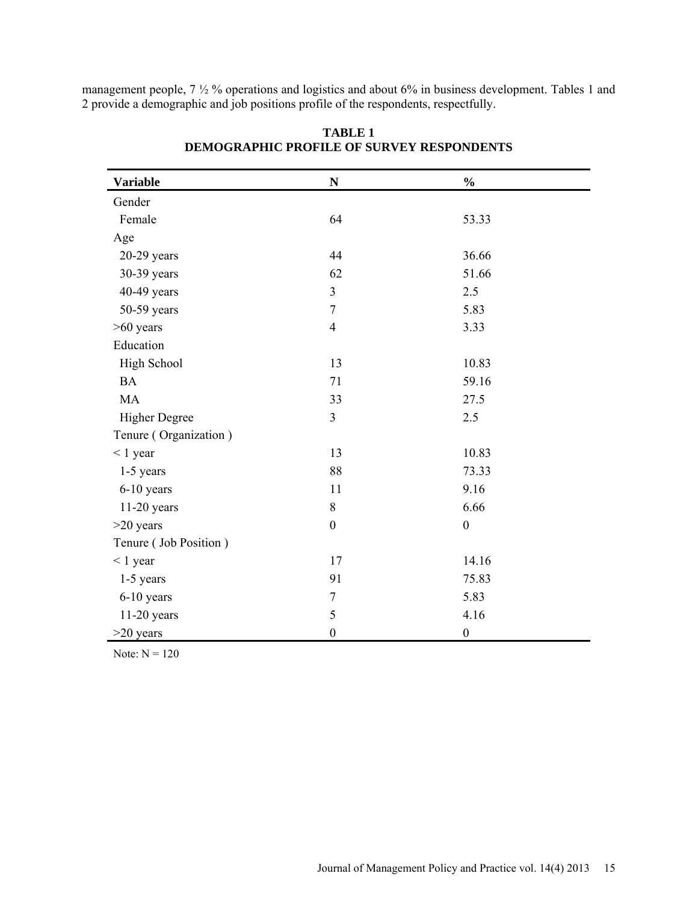management people, 7  $\frac{1}{2}$  % operations and logistics and about 6% in business development. Tables 1 and 2 provide a demographic and job positions profile of the respondents, respectfully.

| <b>Variable</b>       | ${\bf N}$        | $\frac{0}{0}$    |  |
|-----------------------|------------------|------------------|--|
| Gender                |                  |                  |  |
| Female                | 64               | 53.33            |  |
| Age                   |                  |                  |  |
| $20-29$ years         | 44               | 36.66            |  |
| 30-39 years           | 62               | 51.66            |  |
| 40-49 years           | $\overline{3}$   | 2.5              |  |
| $50-59$ years         | $\boldsymbol{7}$ | 5.83             |  |
| $>60$ years           | $\overline{4}$   | 3.33             |  |
| Education             |                  |                  |  |
| High School           | 13               | 10.83            |  |
| <b>BA</b>             | 71               | 59.16            |  |
| <b>MA</b>             | 33               | 27.5             |  |
| <b>Higher Degree</b>  | $\overline{3}$   | 2.5              |  |
| Tenure (Organization) |                  |                  |  |
| $< 1$ year            | 13               | 10.83            |  |
| $1-5$ years           | 88               | 73.33            |  |
| $6-10$ years          | 11               | 9.16             |  |
| $11-20$ years         | 8                | 6.66             |  |
| $>20$ years           | $\boldsymbol{0}$ | $\boldsymbol{0}$ |  |
| Tenure (Job Position) |                  |                  |  |
| $< 1$ year            | 17               | 14.16            |  |
| 1-5 years             | 91               | 75.83            |  |
| 6-10 years            | $\overline{7}$   | 5.83             |  |
| 11-20 years           | 5                | 4.16             |  |
| $>20$ years           | $\boldsymbol{0}$ | $\boldsymbol{0}$ |  |

**TABLE 1 DEMOGRAPHIC PROFILE OF SURVEY RESPONDENTS**

Note:  $N = 120$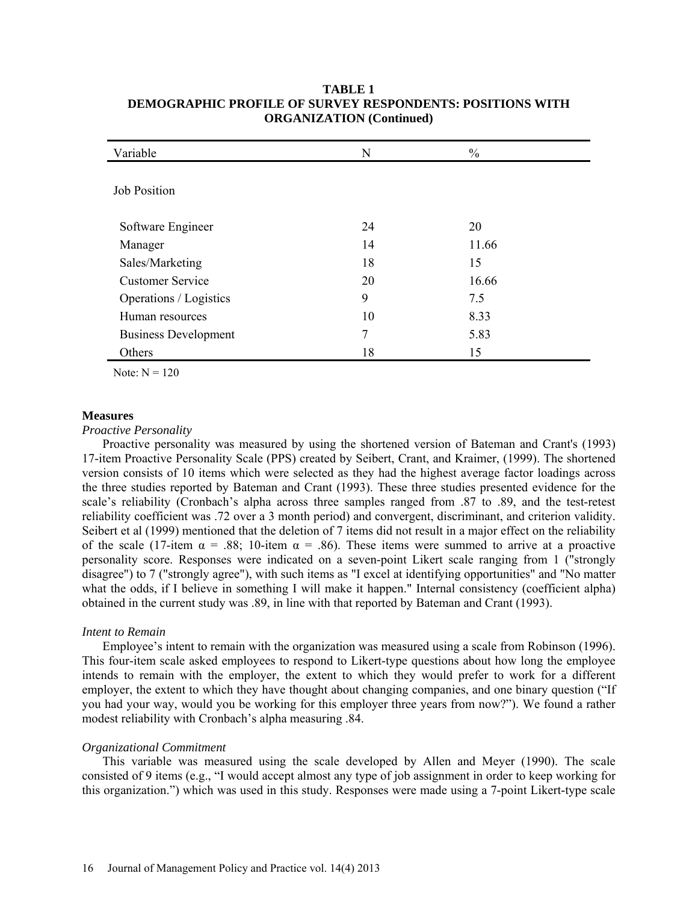| Variable                    | N  | $\frac{0}{0}$ |  |
|-----------------------------|----|---------------|--|
| <b>Job Position</b>         |    |               |  |
| Software Engineer           | 24 | 20            |  |
| Manager                     | 14 | 11.66         |  |
| Sales/Marketing             | 18 | 15            |  |
| <b>Customer Service</b>     | 20 | 16.66         |  |
| Operations / Logistics      | 9  | 7.5           |  |
| Human resources             | 10 | 8.33          |  |
| <b>Business Development</b> | 7  | 5.83          |  |
| Others                      | 18 | 15            |  |

## **TABLE 1 DEMOGRAPHIC PROFILE OF SURVEY RESPONDENTS: POSITIONS WITH ORGANIZATION (Continued)**

Note:  $N = 120$ 

## **Measures**

## *Proactive Personality*

Proactive personality was measured by using the shortened version of Bateman and Crant's (1993) 17-item Proactive Personality Scale (PPS) created by Seibert, Crant, and Kraimer, (1999). The shortened version consists of 10 items which were selected as they had the highest average factor loadings across the three studies reported by Bateman and Crant (1993). These three studies presented evidence for the scale's reliability (Cronbach's alpha across three samples ranged from .87 to .89, and the test-retest reliability coefficient was .72 over a 3 month period) and convergent, discriminant, and criterion validity. Seibert et al (1999) mentioned that the deletion of 7 items did not result in a major effect on the reliability of the scale (17-item  $\alpha = .88$ ; 10-item  $\alpha = .86$ ). These items were summed to arrive at a proactive personality score. Responses were indicated on a seven-point Likert scale ranging from 1 ("strongly disagree") to 7 ("strongly agree"), with such items as "I excel at identifying opportunities" and "No matter what the odds, if I believe in something I will make it happen." Internal consistency (coefficient alpha) obtained in the current study was .89, in line with that reported by Bateman and Crant (1993).

## *Intent to Remain*

Employee's intent to remain with the organization was measured using a scale from Robinson (1996). This four-item scale asked employees to respond to Likert-type questions about how long the employee intends to remain with the employer, the extent to which they would prefer to work for a different employer, the extent to which they have thought about changing companies, and one binary question ("If you had your way, would you be working for this employer three years from now?"). We found a rather modest reliability with Cronbach's alpha measuring .84.

## *Organizational Commitment*

This variable was measured using the scale developed by Allen and Meyer (1990). The scale consisted of 9 items (e.g., "I would accept almost any type of job assignment in order to keep working for this organization.") which was used in this study. Responses were made using a 7-point Likert-type scale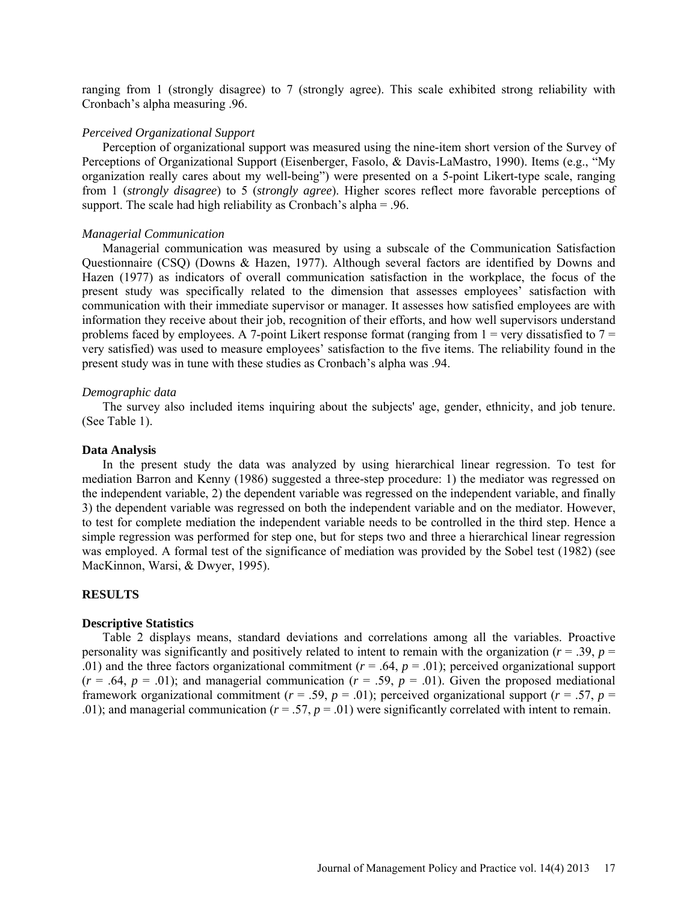ranging from 1 (strongly disagree) to 7 (strongly agree). This scale exhibited strong reliability with Cronbach's alpha measuring .96.

### *Perceived Organizational Support*

Perception of organizational support was measured using the nine-item short version of the Survey of Perceptions of Organizational Support (Eisenberger, Fasolo, & Davis-LaMastro, 1990). Items (e.g., "My organization really cares about my well-being") were presented on a 5-point Likert-type scale, ranging from 1 (*strongly disagree*) to 5 (*strongly agree*). Higher scores reflect more favorable perceptions of support. The scale had high reliability as Cronbach's alpha = .96.

#### *Managerial Communication*

Managerial communication was measured by using a subscale of the Communication Satisfaction Questionnaire (CSQ) (Downs & Hazen, 1977). Although several factors are identified by Downs and Hazen (1977) as indicators of overall communication satisfaction in the workplace, the focus of the present study was specifically related to the dimension that assesses employees' satisfaction with communication with their immediate supervisor or manager. It assesses how satisfied employees are with information they receive about their job, recognition of their efforts, and how well supervisors understand problems faced by employees. A 7-point Likert response format (ranging from  $1 =$  very dissatisfied to  $7 =$ very satisfied) was used to measure employees' satisfaction to the five items. The reliability found in the present study was in tune with these studies as Cronbach's alpha was .94.

#### *Demographic data*

The survey also included items inquiring about the subjects' age, gender, ethnicity, and job tenure. (See Table 1).

### **Data Analysis**

In the present study the data was analyzed by using hierarchical linear regression. To test for mediation Barron and Kenny (1986) suggested a three-step procedure: 1) the mediator was regressed on the independent variable, 2) the dependent variable was regressed on the independent variable, and finally 3) the dependent variable was regressed on both the independent variable and on the mediator. However, to test for complete mediation the independent variable needs to be controlled in the third step. Hence a simple regression was performed for step one, but for steps two and three a hierarchical linear regression was employed. A formal test of the significance of mediation was provided by the Sobel test (1982) (see MacKinnon, Warsi, & Dwyer, 1995).

## **RESULTS**

#### **Descriptive Statistics**

Table 2 displays means, standard deviations and correlations among all the variables. Proactive personality was significantly and positively related to intent to remain with the organization ( $r = .39$ ,  $p =$ .01) and the three factors organizational commitment  $(r = .64, p = .01)$ ; perceived organizational support  $(r = .64, p = .01)$ ; and managerial communication  $(r = .59, p = .01)$ . Given the proposed mediational framework organizational commitment ( $r = .59$ ,  $p = .01$ ); perceived organizational support ( $r = .57$ ,  $p =$ .01); and managerial communication ( $r = .57$ ,  $p = .01$ ) were significantly correlated with intent to remain.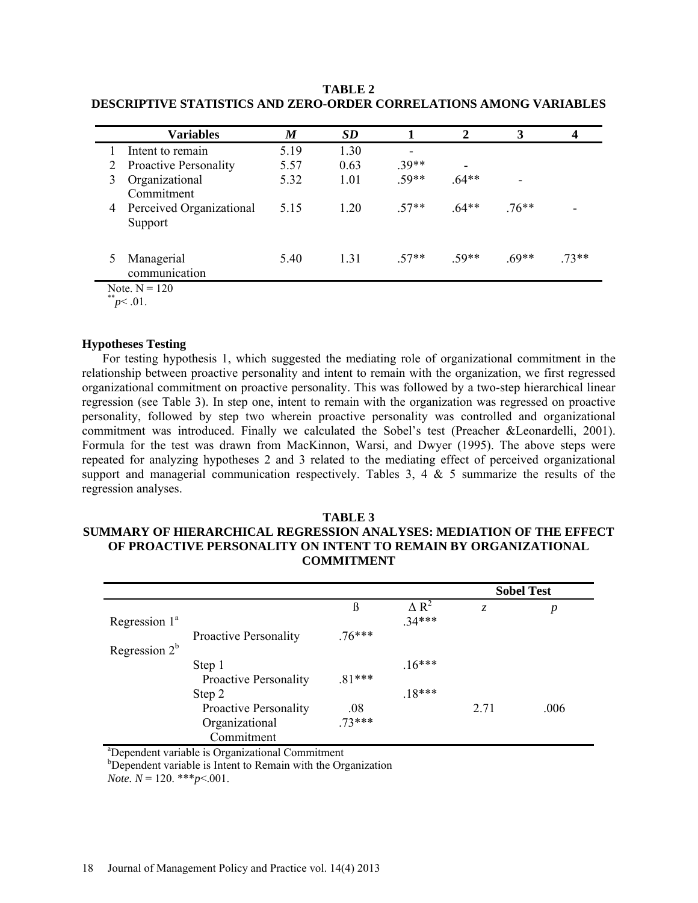|   | <b>Variables</b>                    | M    | <b>SD</b> |         | 2       | 3      |        |
|---|-------------------------------------|------|-----------|---------|---------|--------|--------|
|   | Intent to remain                    | 5.19 | 1.30      | -       |         |        |        |
|   | <b>Proactive Personality</b>        | 5.57 | 0.63      | $.39**$ | -       |        |        |
|   | Organizational<br>Commitment        | 5.32 | 1.01      | $59**$  | $.64**$ | ۰      |        |
| 4 | Perceived Organizational<br>Support | 5.15 | 1.20      | $57**$  | $64**$  | 76**   | -      |
|   | Managerial<br>communication         | 5.40 | 1.31      | $57**$  | 59**    | $69**$ | $73**$ |

**TABLE 2 DESCRIPTIVE STATISTICS AND ZERO-ORDER CORRELATIONS AMONG VARIABLES**

Note.  $N = 120$ 

 $p<.01$ .

## **Hypotheses Testing**

For testing hypothesis 1, which suggested the mediating role of organizational commitment in the relationship between proactive personality and intent to remain with the organization, we first regressed organizational commitment on proactive personality. This was followed by a two-step hierarchical linear regression (see Table 3). In step one, intent to remain with the organization was regressed on proactive personality, followed by step two wherein proactive personality was controlled and organizational commitment was introduced. Finally we calculated the Sobel's test (Preacher &Leonardelli, 2001). Formula for the test was drawn from MacKinnon, Warsi, and Dwyer (1995). The above steps were repeated for analyzing hypotheses 2 and 3 related to the mediating effect of perceived organizational support and managerial communication respectively. Tables  $3, 4 \& 5$  summarize the results of the regression analyses.

## **TABLE 3 SUMMARY OF HIERARCHICAL REGRESSION ANALYSES: MEDIATION OF THE EFFECT OF PROACTIVE PERSONALITY ON INTENT TO REMAIN BY ORGANIZATIONAL COMMITMENT**

|                  |                              |          |                         | <b>Sobel Test</b> |      |  |
|------------------|------------------------------|----------|-------------------------|-------------------|------|--|
|                  |                              | ß        | $\Delta$ R <sup>2</sup> | Z.                | р    |  |
| Regression $1^a$ | <b>Proactive Personality</b> | $.76***$ | $.34***$                |                   |      |  |
| Regression $2^b$ |                              |          |                         |                   |      |  |
|                  | Step 1                       |          | $.16***$                |                   |      |  |
|                  | <b>Proactive Personality</b> | $.81***$ |                         |                   |      |  |
|                  | Step 2                       |          | $.18***$                |                   |      |  |
|                  | <b>Proactive Personality</b> | .08      |                         | 2.71              | .006 |  |
|                  | Organizational               | $.73***$ |                         |                   |      |  |
| $2\pi$           | Commitment                   |          |                         |                   |      |  |

a Dependent variable is Organizational Commitment

<sup>b</sup>Dependent variable is Intent to Remain with the Organization

*Note.*  $N = 120$ . \*\*\* $p < .001$ .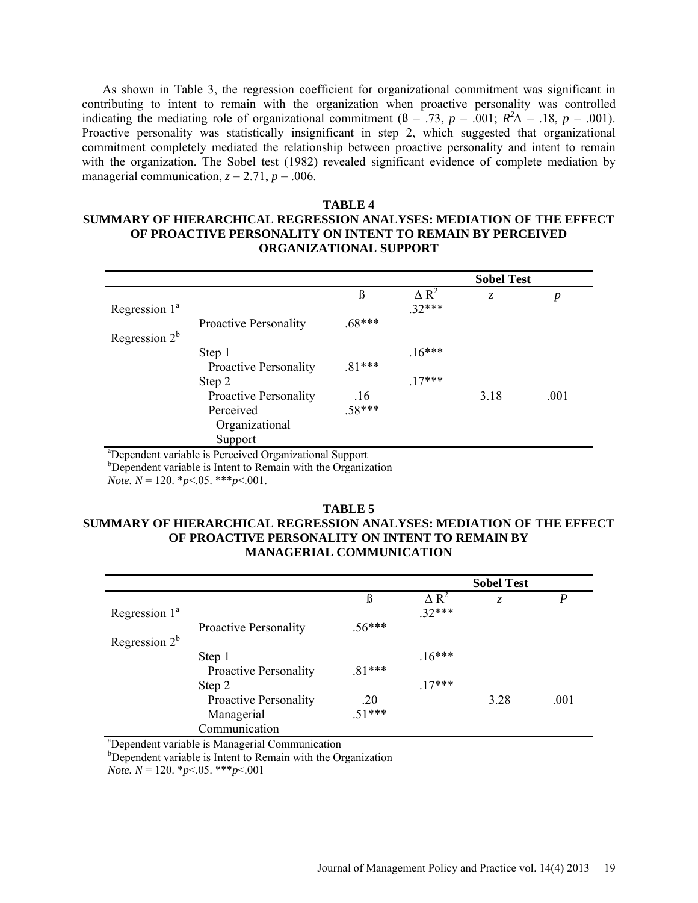As shown in Table 3, the regression coefficient for organizational commitment was significant in contributing to intent to remain with the organization when proactive personality was controlled indicating the mediating role of organizational commitment ( $\beta = .73$ ,  $p = .001$ ;  $R^2\Delta = .18$ ,  $p = .001$ ). Proactive personality was statistically insignificant in step 2, which suggested that organizational commitment completely mediated the relationship between proactive personality and intent to remain with the organization. The Sobel test (1982) revealed significant evidence of complete mediation by managerial communication,  $z = 2.71$ ,  $p = .006$ .

## **TABLE 4 SUMMARY OF HIERARCHICAL REGRESSION ANALYSES: MEDIATION OF THE EFFECT OF PROACTIVE PERSONALITY ON INTENT TO REMAIN BY PERCEIVED ORGANIZATIONAL SUPPORT**

|                  |                              |          |              | <b>Sobel Test</b> |                  |  |
|------------------|------------------------------|----------|--------------|-------------------|------------------|--|
|                  |                              | ß        | $\Delta R^2$ | Z.                | $\boldsymbol{p}$ |  |
| Regression $1^a$ |                              |          | $32***$      |                   |                  |  |
|                  | <b>Proactive Personality</b> | $.68***$ |              |                   |                  |  |
| Regression $2^b$ |                              |          |              |                   |                  |  |
|                  | Step 1                       |          | $.16***$     |                   |                  |  |
|                  | <b>Proactive Personality</b> | $.81***$ |              |                   |                  |  |
|                  | Step 2                       |          | $.17***$     |                   |                  |  |
|                  | <b>Proactive Personality</b> | .16      |              | 3.18              | .001             |  |
|                  | Perceived                    | $.58***$ |              |                   |                  |  |
|                  | Organizational               |          |              |                   |                  |  |
|                  | Support                      |          |              |                   |                  |  |

a Dependent variable is Perceived Organizational Support

<sup>b</sup>Dependent variable is Intent to Remain with the Organization

*Note. N* = 120. \**p*<.05. \*\*\**p*<.001.

## **TABLE 5 SUMMARY OF HIERARCHICAL REGRESSION ANALYSES: MEDIATION OF THE EFFECT OF PROACTIVE PERSONALITY ON INTENT TO REMAIN BY MANAGERIAL COMMUNICATION**

|                  |                              |          | <b>Sobel Test</b>       |      |                  |  |
|------------------|------------------------------|----------|-------------------------|------|------------------|--|
|                  |                              | ß        | $\Delta$ R <sup>2</sup> | Z.   | $\boldsymbol{P}$ |  |
| Regression $1^a$ |                              |          | $32***$                 |      |                  |  |
|                  | <b>Proactive Personality</b> | $.56***$ |                         |      |                  |  |
| Regression $2^b$ |                              |          |                         |      |                  |  |
|                  | Step 1                       |          | $.16***$                |      |                  |  |
|                  | <b>Proactive Personality</b> | $.81***$ |                         |      |                  |  |
|                  | Step 2                       |          | $.17***$                |      |                  |  |
|                  | Proactive Personality        | .20      |                         | 3.28 | .001             |  |
|                  | Managerial                   | $.51***$ |                         |      |                  |  |
|                  | Communication                |          |                         |      |                  |  |

a Dependent variable is Managerial Communication

<sup>b</sup>Dependent variable is Intent to Remain with the Organization

*Note. N* = 120. \**p*<.05. \*\*\**p*<.001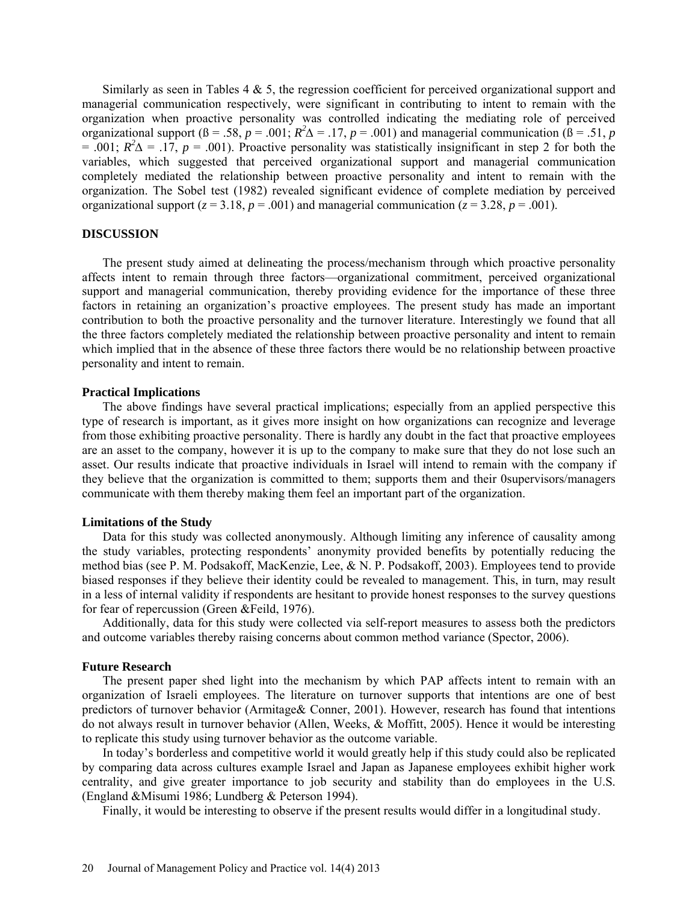Similarly as seen in Tables  $4 \& 5$ , the regression coefficient for perceived organizational support and managerial communication respectively, were significant in contributing to intent to remain with the organization when proactive personality was controlled indicating the mediating role of perceived organizational support ( $\beta = .58$ ,  $p = .001$ ;  $R^2\Delta = .17$ ,  $p = .001$ ) and managerial communication ( $\beta = .51$ ,  $p$  $= .001$ ;  $R^2\Delta = .17$ ,  $p = .001$ ). Proactive personality was statistically insignificant in step 2 for both the variables, which suggested that perceived organizational support and managerial communication completely mediated the relationship between proactive personality and intent to remain with the organization. The Sobel test (1982) revealed significant evidence of complete mediation by perceived organizational support ( $z = 3.18$ ,  $p = .001$ ) and managerial communication ( $z = 3.28$ ,  $p = .001$ ).

## **DISCUSSION**

The present study aimed at delineating the process/mechanism through which proactive personality affects intent to remain through three factors—organizational commitment, perceived organizational support and managerial communication, thereby providing evidence for the importance of these three factors in retaining an organization's proactive employees. The present study has made an important contribution to both the proactive personality and the turnover literature. Interestingly we found that all the three factors completely mediated the relationship between proactive personality and intent to remain which implied that in the absence of these three factors there would be no relationship between proactive personality and intent to remain.

#### **Practical Implications**

The above findings have several practical implications; especially from an applied perspective this type of research is important, as it gives more insight on how organizations can recognize and leverage from those exhibiting proactive personality. There is hardly any doubt in the fact that proactive employees are an asset to the company, however it is up to the company to make sure that they do not lose such an asset. Our results indicate that proactive individuals in Israel will intend to remain with the company if they believe that the organization is committed to them; supports them and their 0supervisors/managers communicate with them thereby making them feel an important part of the organization.

#### **Limitations of the Study**

Data for this study was collected anonymously. Although limiting any inference of causality among the study variables, protecting respondents' anonymity provided benefits by potentially reducing the method bias (see P. M. Podsakoff, MacKenzie, Lee, & N. P. Podsakoff, 2003). Employees tend to provide biased responses if they believe their identity could be revealed to management. This, in turn, may result in a less of internal validity if respondents are hesitant to provide honest responses to the survey questions for fear of repercussion (Green &Feild, 1976).

Additionally, data for this study were collected via self-report measures to assess both the predictors and outcome variables thereby raising concerns about common method variance (Spector, 2006).

## **Future Research**

The present paper shed light into the mechanism by which PAP affects intent to remain with an organization of Israeli employees. The literature on turnover supports that intentions are one of best predictors of turnover behavior (Armitage& Conner, 2001). However, research has found that intentions do not always result in turnover behavior (Allen, Weeks, & Moffitt, 2005). Hence it would be interesting to replicate this study using turnover behavior as the outcome variable.

In today's borderless and competitive world it would greatly help if this study could also be replicated by comparing data across cultures example Israel and Japan as Japanese employees exhibit higher work centrality, and give greater importance to job security and stability than do employees in the U.S. (England &Misumi 1986; Lundberg & Peterson 1994).

Finally, it would be interesting to observe if the present results would differ in a longitudinal study.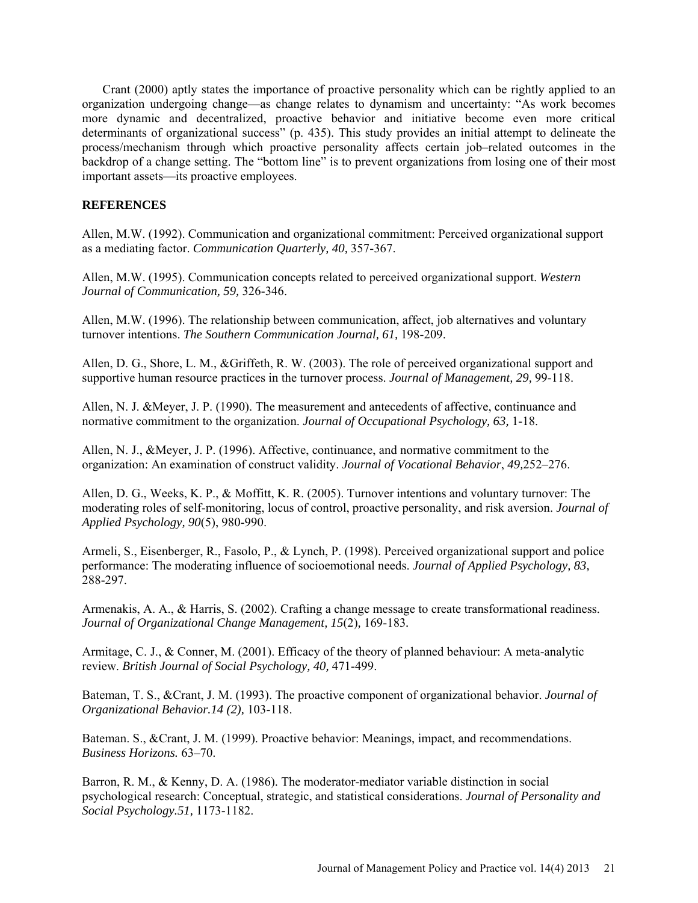Crant (2000) aptly states the importance of proactive personality which can be rightly applied to an organization undergoing change—as change relates to dynamism and uncertainty: "As work becomes more dynamic and decentralized, proactive behavior and initiative become even more critical determinants of organizational success" (p. 435). This study provides an initial attempt to delineate the process/mechanism through which proactive personality affects certain job–related outcomes in the backdrop of a change setting. The "bottom line" is to prevent organizations from losing one of their most important assets—its proactive employees.

## **REFERENCES**

Allen, M.W. (1992). Communication and organizational commitment: Perceived organizational support as a mediating factor. *Communication Quarterly, 40,* 357-367.

Allen, M.W. (1995). Communication concepts related to perceived organizational support. *Western Journal of Communication, 59,* 326-346.

Allen, M.W. (1996). The relationship between communication, affect, job alternatives and voluntary turnover intentions. *The Southern Communication Journal, 61,* 198-209.

Allen, D. G., Shore, L. M., &Griffeth, R. W. (2003). The role of perceived organizational support and supportive human resource practices in the turnover process. *Journal of Management, 29,* 99-118.

Allen, N. J. &Meyer, J. P. (1990). The measurement and antecedents of affective, continuance and normative commitment to the organization. *Journal of Occupational Psychology, 63,* 1-18.

Allen, N. J., &Meyer, J. P. (1996). Affective, continuance, and normative commitment to the organization: An examination of construct validity. *Journal of Vocational Behavior*, *49,*252–276.

Allen, D. G., Weeks, K. P., & Moffitt, K. R. (2005). Turnover intentions and voluntary turnover: The moderating roles of self-monitoring, locus of control, proactive personality, and risk aversion. *Journal of Applied Psychology, 90*(5), 980-990.

Armeli, S., Eisenberger, R., Fasolo, P., & Lynch, P. (1998). Perceived organizational support and police performance: The moderating influence of socioemotional needs. *Journal of Applied Psychology, 83,* 288-297.

Armenakis, A. A., & Harris, S. (2002). Crafting a change message to create transformational readiness. *Journal of Organizational Change Management, 15*(2)*,* 169-183*.* 

Armitage, C. J., & Conner, M. (2001). Efficacy of the theory of planned behaviour: A meta-analytic review. *British Journal of Social Psychology, 40,* 471-499.

Bateman, T. S., &Crant, J. M. (1993). The proactive component of organizational behavior. *Journal of Organizational Behavior.14 (2),* 103-118.

Bateman. S., &Crant, J. M. (1999). Proactive behavior: Meanings, impact, and recommendations. *Business Horizons.* 63–70.

Barron, R. M., & Kenny, D. A. (1986). The moderator-mediator variable distinction in social psychological research: Conceptual, strategic, and statistical considerations. *Journal of Personality and Social Psychology.51,* 1173-1182.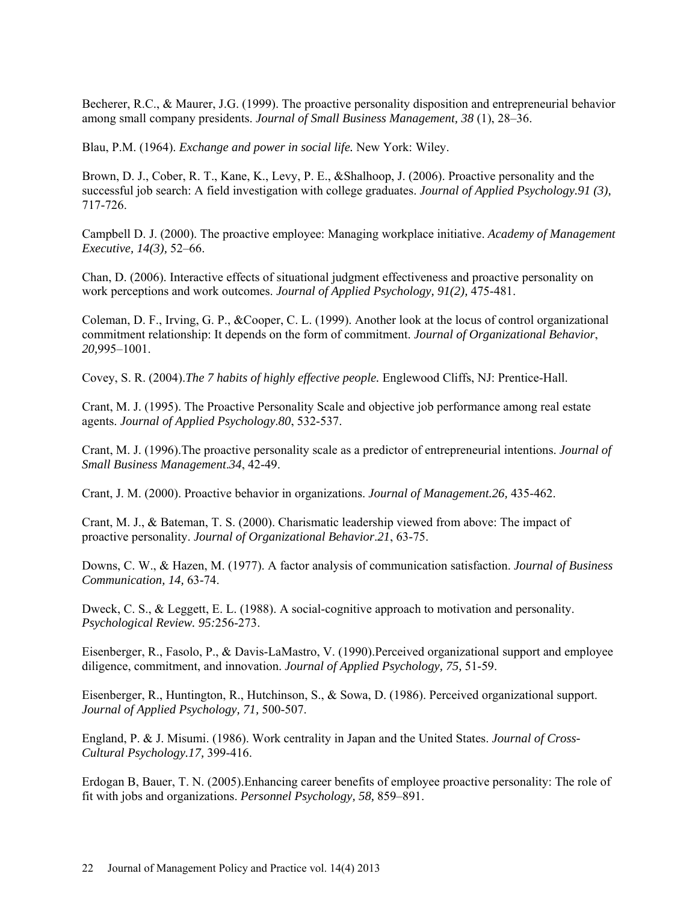Becherer, R.C., & Maurer, J.G. (1999). The proactive personality disposition and entrepreneurial behavior among small company presidents. *Journal of Small Business Management, 38* (1), 28–36.

Blau, P.M. (1964). *Exchange and power in social life.* New York: Wiley.

Brown, D. J., Cober, R. T., Kane, K., Levy, P. E., &Shalhoop, J. (2006). Proactive personality and the successful job search: A field investigation with college graduates. *Journal of Applied Psychology.91 (3),* 717-726.

Campbell D. J. (2000). The proactive employee: Managing workplace initiative. *Academy of Management Executive, 14(3),* 52–66.

Chan, D. (2006). Interactive effects of situational judgment effectiveness and proactive personality on work perceptions and work outcomes. *Journal of Applied Psychology, 91(2),* 475-481.

Coleman, D. F., Irving, G. P., &Cooper, C. L. (1999). Another look at the locus of control organizational commitment relationship: It depends on the form of commitment. *Journal of Organizational Behavior*, *20,*995–1001.

Covey, S. R. (2004).*The 7 habits of highly effective people.* Englewood Cliffs, NJ: Prentice-Hall.

Crant, M. J. (1995). The Proactive Personality Scale and objective job performance among real estate agents. *Journal of Applied Psychology*.*80*, 532-537.

Crant, M. J. (1996).The proactive personality scale as a predictor of entrepreneurial intentions. *Journal of Small Business Management*.*34*, 42-49.

Crant, J. M. (2000). Proactive behavior in organizations. *Journal of Management.26,* 435-462.

Crant, M. J., & Bateman, T. S. (2000). Charismatic leadership viewed from above: The impact of proactive personality. *Journal of Organizational Behavior*.*21*, 63-75.

Downs, C. W., & Hazen, M. (1977). A factor analysis of communication satisfaction. *Journal of Business Communication, 14,* 63-74.

Dweck, C. S., & Leggett, E. L. (1988). A social-cognitive approach to motivation and personality. *Psychological Review. 95:*256-273.

Eisenberger, R., Fasolo, P., & Davis-LaMastro, V. (1990).Perceived organizational support and employee diligence, commitment, and innovation. *Journal of Applied Psychology, 75,* 51-59.

Eisenberger, R., Huntington, R., Hutchinson, S., & Sowa, D. (1986). Perceived organizational support. *Journal of Applied Psychology, 71,* 500-507.

England, P. & J. Misumi. (1986). Work centrality in Japan and the United States. *Journal of Cross-Cultural Psychology.17,* 399-416.

Erdogan B, Bauer, T. N. (2005).Enhancing career benefits of employee proactive personality: The role of fit with jobs and organizations. *Personnel Psychology, 58,* 859–891.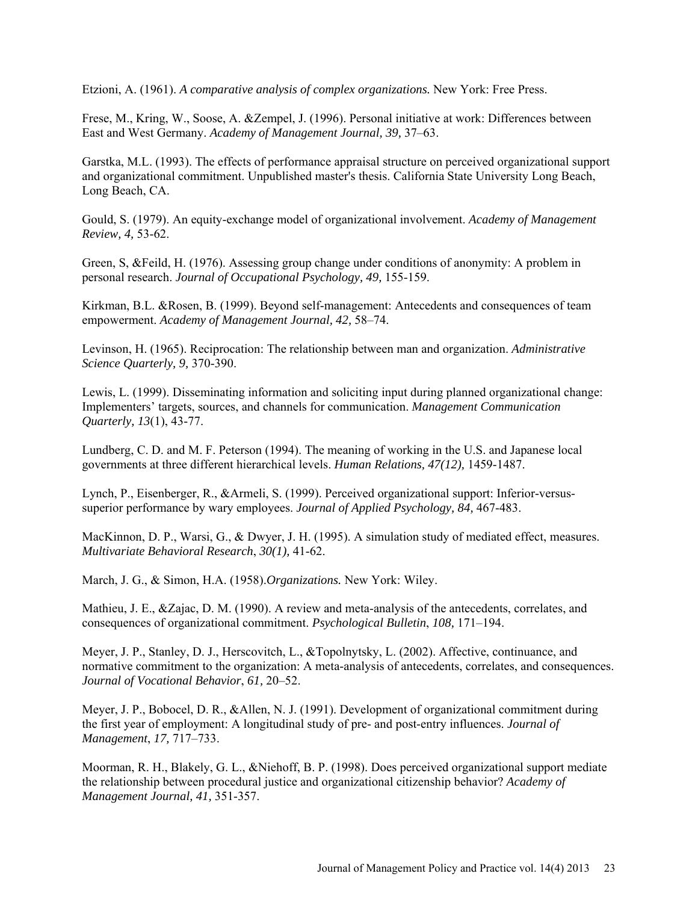Etzioni, A. (1961). *A comparative analysis of complex organizations.* New York: Free Press.

Frese, M., Kring, W., Soose, A. &Zempel, J. (1996). Personal initiative at work: Differences between East and West Germany. *Academy of Management Journal, 39,* 37–63.

Garstka, M.L. (1993). The effects of performance appraisal structure on perceived organizational support and organizational commitment. Unpublished master's thesis. California State University Long Beach, Long Beach, CA.

Gould, S. (1979). An equity-exchange model of organizational involvement. *Academy of Management Review, 4,* 53-62.

Green, S, &Feild, H. (1976). Assessing group change under conditions of anonymity: A problem in personal research. *Journal of Occupational Psychology, 49,* 155-159.

Kirkman, B.L. &Rosen, B. (1999). Beyond self-management: Antecedents and consequences of team empowerment. *Academy of Management Journal, 42,* 58–74.

Levinson, H. (1965). Reciprocation: The relationship between man and organization. *Administrative Science Quarterly, 9,* 370-390.

Lewis, L. (1999). Disseminating information and soliciting input during planned organizational change: Implementers' targets, sources, and channels for communication. *Management Communication Quarterly, 13*(1), 43-77.

Lundberg, C. D. and M. F. Peterson (1994). The meaning of working in the U.S. and Japanese local governments at three different hierarchical levels. *Human Relations, 47(12),* 1459-1487.

Lynch, P., Eisenberger, R., &Armeli, S. (1999). Perceived organizational support: Inferior-versussuperior performance by wary employees. *Journal of Applied Psychology, 84,* 467-483.

MacKinnon, D. P., Warsi, G., & Dwyer, J. H. (1995). A simulation study of mediated effect, measures. *Multivariate Behavioral Research*, *30(1),* 41-62.

March, J. G., & Simon, H.A. (1958).*Organizations.* New York: Wiley.

Mathieu, J. E., &Zajac, D. M. (1990). A review and meta-analysis of the antecedents, correlates, and consequences of organizational commitment. *Psychological Bulletin*, *108,* 171–194.

Meyer, J. P., Stanley, D. J., Herscovitch, L., &Topolnytsky, L. (2002). Affective, continuance, and normative commitment to the organization: A meta-analysis of antecedents, correlates, and consequences. *Journal of Vocational Behavior*, *61,* 20–52.

Meyer, J. P., Bobocel, D. R., &Allen, N. J. (1991). Development of organizational commitment during the first year of employment: A longitudinal study of pre- and post-entry influences. *Journal of Management*, *17,* 717–733.

Moorman, R. H., Blakely, G. L., &Niehoff, B. P. (1998). Does perceived organizational support mediate the relationship between procedural justice and organizational citizenship behavior? *Academy of Management Journal, 41,* 351-357.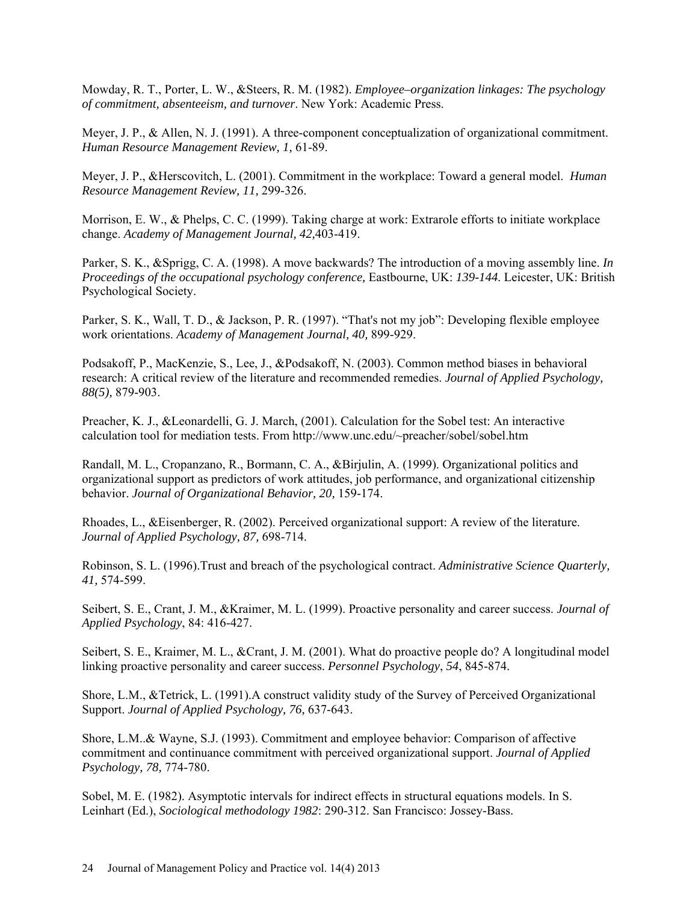Mowday, R. T., Porter, L. W., &Steers, R. M. (1982). *Employee–organization linkages: The psychology of commitment, absenteeism, and turnover*. New York: Academic Press.

Meyer, J. P., & Allen, N. J. (1991). A three-component conceptualization of organizational commitment. *Human Resource Management Review, 1,* 61-89.

Meyer, J. P., &Herscovitch, L. (2001). Commitment in the workplace: Toward a general model. *Human Resource Management Review, 11,* 299-326.

Morrison, E. W., & Phelps, C. C. (1999). Taking charge at work: Extrarole efforts to initiate workplace change. *Academy of Management Journal, 42,*403-419.

Parker, S. K., &Sprigg, C. A. (1998). A move backwards? The introduction of a moving assembly line. *In Proceedings of the occupational psychology conference, Eastbourne, UK: 139-144. Leicester, UK: British* Psychological Society.

Parker, S. K., Wall, T. D., & Jackson, P. R. (1997). "That's not my job": Developing flexible employee work orientations. *Academy of Management Journal, 40,* 899-929.

Podsakoff, P., MacKenzie, S., Lee, J., &Podsakoff, N. (2003). Common method biases in behavioral research: A critical review of the literature and recommended remedies. *Journal of Applied Psychology, 88(5),* 879-903.

Preacher, K. J., &Leonardelli, G. J. March, (2001). Calculation for the Sobel test: An interactive calculation tool for mediation tests. From<http://www.unc.edu/~preacher/sobel/sobel.htm>

Randall, M. L., Cropanzano, R., Bormann, C. A., &Birjulin, A. (1999). Organizational politics and organizational support as predictors of work attitudes, job performance, and organizational citizenship behavior. *Journal of Organizational Behavior, 20,* 159-174.

Rhoades, L., &Eisenberger, R. (2002). Perceived organizational support: A review of the literature. *Journal of Applied Psychology, 87,* 698-714.

Robinson, S. L. (1996).Trust and breach of the psychological contract. *Administrative Science Quarterly, 41,* 574-599.

Seibert, S. E., Crant, J. M., &Kraimer, M. L. (1999). Proactive personality and career success. *Journal of Applied Psychology*, 84: 416-427.

Seibert, S. E., Kraimer, M. L., &Crant, J. M. (2001). What do proactive people do? A longitudinal model linking proactive personality and career success. *Personnel Psychology*, *54*, 845-874.

Shore, L.M., &Tetrick, L. (1991).A construct validity study of the Survey of Perceived Organizational Support. *Journal of Applied Psychology, 76,* 637-643.

Shore, L.M..& Wayne, S.J. (1993). Commitment and employee behavior: Comparison of affective commitment and continuance commitment with perceived organizational support. *Journal of Applied Psychology, 78,* 774-780.

Sobel, M. E. (1982). Asymptotic intervals for indirect effects in structural equations models. In S. Leinhart (Ed.), *Sociological methodology 1982*: 290-312. San Francisco: Jossey-Bass.